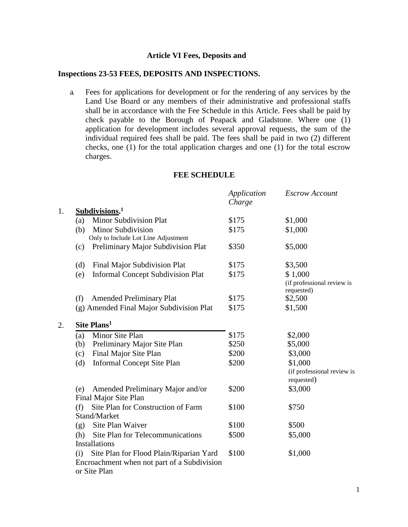## **Article VI Fees, Deposits and**

## **Inspections 23-53 FEES, DEPOSITS AND INSPECTIONS.**

a. Fees for applications for development or for the rendering of any services by the Land Use Board or any members of their administrative and professional staffs shall be in accordance with the Fee Schedule in this Article. Fees shall be paid by check payable to the Borough of Peapack and Gladstone. Where one (1) application for development includes several approval requests, the sum of the individual required fees shall be paid. The fees shall be paid in two (2) different checks, one (1) for the total application charges and one (1) for the total escrow charges.

## **FEE SCHEDULE**

|                                                                                                               | Application<br>Charge | <b>Escrow Account</b>                               |
|---------------------------------------------------------------------------------------------------------------|-----------------------|-----------------------------------------------------|
| Subdivisions. <sup>1</sup>                                                                                    |                       |                                                     |
| <b>Minor Subdivision Plat</b><br>(a)                                                                          | \$175                 | \$1,000                                             |
| <b>Minor Subdivision</b><br>(b)<br>Only to Include Lot Line Adjustment                                        | \$175                 | \$1,000                                             |
| Preliminary Major Subdivision Plat<br>(c)                                                                     | \$350                 | \$5,000                                             |
| (d)<br>Final Major Subdivision Plat                                                                           | \$175                 | \$3,500                                             |
| <b>Informal Concept Subdivision Plat</b><br>(e)                                                               | \$175                 | \$1,000<br>(if professional review is<br>requested) |
| <b>Amended Preliminary Plat</b><br>(f)                                                                        | \$175                 | \$2,500                                             |
| (g) Amended Final Major Subdivision Plat                                                                      | \$175                 | \$1,500                                             |
| Site Plans <sup>1</sup>                                                                                       |                       |                                                     |
| Minor Site Plan<br>(a)                                                                                        | \$175                 | \$2,000                                             |
| Preliminary Major Site Plan<br>(b)                                                                            | \$250                 | \$5,000                                             |
| Final Major Site Plan<br>(c)                                                                                  | \$200                 | \$3,000                                             |
| <b>Informal Concept Site Plan</b><br>(d)                                                                      | \$200                 | \$1,000<br>(if professional review is<br>requested) |
| Amended Preliminary Major and/or<br>(e)<br>Final Major Site Plan                                              | \$200                 | \$3,000                                             |
| Site Plan for Construction of Farm<br>(f)                                                                     | \$100                 | \$750                                               |
| Stand/Market                                                                                                  |                       |                                                     |
| Site Plan Waiver<br>(g)                                                                                       | \$100                 | \$500                                               |
| <b>Site Plan for Telecommunications</b><br>(h)                                                                | \$500                 | \$5,000                                             |
| Installations                                                                                                 |                       |                                                     |
| Site Plan for Flood Plain/Riparian Yard<br>(i)<br>Encroachment when not part of a Subdivision<br>or Site Plan | \$100                 | \$1,000                                             |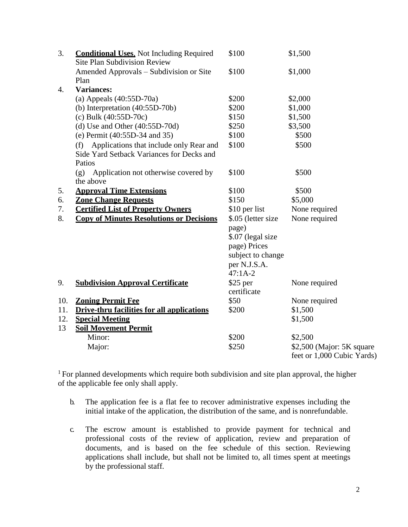| 3.               | <b>Conditional Uses.</b> Not Including Required<br><b>Site Plan Subdivision Review</b> | \$100              | \$1,500                                                 |
|------------------|----------------------------------------------------------------------------------------|--------------------|---------------------------------------------------------|
|                  | Amended Approvals – Subdivision or Site<br>Plan                                        | \$100              | \$1,000                                                 |
| $\overline{4}$ . | <b>Variances:</b>                                                                      |                    |                                                         |
|                  | (a) Appeals $(40:55D-70a)$                                                             | \$200              | \$2,000                                                 |
|                  | (b) Interpretation $(40:55D-70b)$                                                      | \$200              | \$1,000                                                 |
|                  | (c) Bulk $(40:55D-70c)$                                                                | \$150              | \$1,500                                                 |
|                  | $(d)$ Use and Other $(40:55D-70d)$                                                     | \$250              | \$3,500                                                 |
|                  | (e) Permit (40:55D-34 and 35)                                                          | \$100              | \$500                                                   |
|                  | Applications that include only Rear and<br>(f)                                         | \$100              | \$500                                                   |
|                  | Side Yard Setback Variances for Decks and                                              |                    |                                                         |
|                  | Patios                                                                                 |                    |                                                         |
|                  | Application not otherwise covered by<br>(g)                                            | \$100              | \$500                                                   |
|                  | the above                                                                              |                    |                                                         |
| 5.               | <b>Approval Time Extensions</b>                                                        | \$100              | \$500                                                   |
| 6.               | <b>Zone Change Requests</b>                                                            | \$150              | \$5,000                                                 |
| 7.               | <b>Certified List of Property Owners</b>                                               | \$10 per list      | None required                                           |
| 8.               | <b>Copy of Minutes Resolutions or Decisions</b>                                        | \$.05 (letter size | None required                                           |
|                  |                                                                                        | page)              |                                                         |
|                  |                                                                                        | \$.07 (legal size  |                                                         |
|                  |                                                                                        | page) Prices       |                                                         |
|                  |                                                                                        | subject to change  |                                                         |
|                  |                                                                                        | per N.J.S.A.       |                                                         |
|                  |                                                                                        | $47:1A-2$          |                                                         |
| 9.               | <b>Subdivision Approval Certificate</b>                                                | $$25$ per          | None required                                           |
|                  |                                                                                        | certificate        |                                                         |
| 10.              | <b>Zoning Permit Fee</b>                                                               | \$50               | None required                                           |
| 11.              | <b>Drive-thru facilities for all applications</b>                                      | \$200              | \$1,500                                                 |
| 12.              | <b>Special Meeting</b>                                                                 |                    | \$1,500                                                 |
| 13               | <b>Soil Movement Permit</b>                                                            |                    |                                                         |
|                  | Minor:                                                                                 | \$200              | \$2,500                                                 |
|                  | Major:                                                                                 | \$250              | \$2,500 (Major: 5K square<br>feet or 1,000 Cubic Yards) |

<sup>1</sup> For planned developments which require both subdivision and site plan approval, the higher of the applicable fee only shall apply.

- b. The application fee is a flat fee to recover administrative expenses including the initial intake of the application, the distribution of the same, and is nonrefundable.
- c. The escrow amount is established to provide payment for technical and professional costs of the review of application, review and preparation of documents, and is based on the fee schedule of this section. Reviewing applications shall include, but shall not be limited to, all times spent at meetings by the professional staff.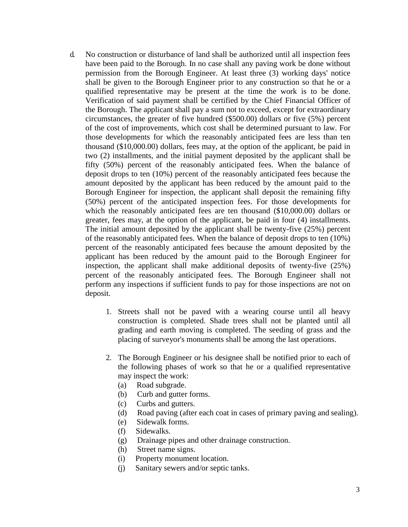- d. No construction or disturbance of land shall be authorized until all inspection fees have been paid to the Borough. In no case shall any paving work be done without permission from the Borough Engineer. At least three (3) working days' notice shall be given to the Borough Engineer prior to any construction so that he or a qualified representative may be present at the time the work is to be done. Verification of said payment shall be certified by the Chief Financial Officer of the Borough. The applicant shall pay a sum not to exceed, except for extraordinary circumstances, the greater of five hundred (\$500.00) dollars or five (5%) percent of the cost of improvements, which cost shall be determined pursuant to law. For those developments for which the reasonably anticipated fees are less than ten thousand (\$10,000.00) dollars, fees may, at the option of the applicant, be paid in two (2) installments, and the initial payment deposited by the applicant shall be fifty (50%) percent of the reasonably anticipated fees. When the balance of deposit drops to ten (10%) percent of the reasonably anticipated fees because the amount deposited by the applicant has been reduced by the amount paid to the Borough Engineer for inspection, the applicant shall deposit the remaining fifty (50%) percent of the anticipated inspection fees. For those developments for which the reasonably anticipated fees are ten thousand (\$10,000.00) dollars or greater, fees may, at the option of the applicant, be paid in four (4) installments. The initial amount deposited by the applicant shall be twenty-five (25%) percent of the reasonably anticipated fees. When the balance of deposit drops to ten (10%) percent of the reasonably anticipated fees because the amount deposited by the applicant has been reduced by the amount paid to the Borough Engineer for inspection, the applicant shall make additional deposits of twenty-five (25%) percent of the reasonably anticipated fees. The Borough Engineer shall not perform any inspections if sufficient funds to pay for those inspections are not on deposit.
	- 1. Streets shall not be paved with a wearing course until all heavy construction is completed. Shade trees shall not be planted until all grading and earth moving is completed. The seeding of grass and the placing of surveyor's monuments shall be among the last operations.
	- 2. The Borough Engineer or his designee shall be notified prior to each of the following phases of work so that he or a qualified representative may inspect the work:
		- (a) Road subgrade.
		- (b) Curb and gutter forms.
		- (c) Curbs and gutters.
		- (d) Road paving (after each coat in cases of primary paving and sealing).
		- (e) Sidewalk forms.
		- (f) Sidewalks.
		- (g) Drainage pipes and other drainage construction.
		- (h) Street name signs.
		- (i) Property monument location.
		- (j) Sanitary sewers and/or septic tanks.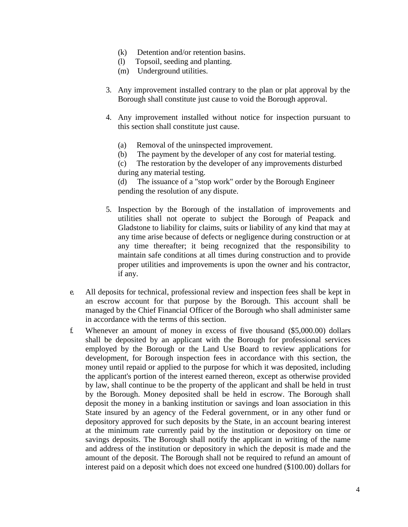- (k) Detention and/or retention basins.
- (l) Topsoil, seeding and planting.
- (m) Underground utilities.
- 3. Any improvement installed contrary to the plan or plat approval by the Borough shall constitute just cause to void the Borough approval.
- 4. Any improvement installed without notice for inspection pursuant to this section shall constitute just cause.
	- (a) Removal of the uninspected improvement.
	- (b) The payment by the developer of any cost for material testing.

(c) The restoration by the developer of any improvements disturbed during any material testing.

(d) The issuance of a "stop work" order by the Borough Engineer pending the resolution of any dispute.

- 5. Inspection by the Borough of the installation of improvements and utilities shall not operate to subject the Borough of Peapack and Gladstone to liability for claims, suits or liability of any kind that may at any time arise because of defects or negligence during construction or at any time thereafter; it being recognized that the responsibility to maintain safe conditions at all times during construction and to provide proper utilities and improvements is upon the owner and his contractor, if any.
- e. All deposits for technical, professional review and inspection fees shall be kept in an escrow account for that purpose by the Borough. This account shall be managed by the Chief Financial Officer of the Borough who shall administer same in accordance with the terms of this section.
- f. Whenever an amount of money in excess of five thousand (\$5,000.00) dollars shall be deposited by an applicant with the Borough for professional services employed by the Borough or the Land Use Board to review applications for development, for Borough inspection fees in accordance with this section, the money until repaid or applied to the purpose for which it was deposited, including the applicant's portion of the interest earned thereon, except as otherwise provided by law, shall continue to be the property of the applicant and shall be held in trust by the Borough. Money deposited shall be held in escrow. The Borough shall deposit the money in a banking institution or savings and loan association in this State insured by an agency of the Federal government, or in any other fund or depository approved for such deposits by the State, in an account bearing interest at the minimum rate currently paid by the institution or depository on time or savings deposits. The Borough shall notify the applicant in writing of the name and address of the institution or depository in which the deposit is made and the amount of the deposit. The Borough shall not be required to refund an amount of interest paid on a deposit which does not exceed one hundred (\$100.00) dollars for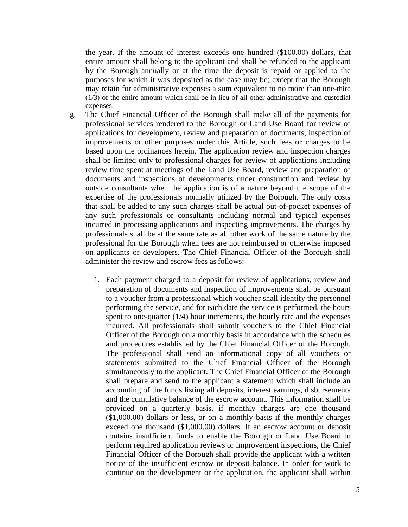the year. If the amount of interest exceeds one hundred (\$100.00) dollars, that entire amount shall belong to the applicant and shall be refunded to the applicant by the Borough annually or at the time the deposit is repaid or applied to the purposes for which it was deposited as the case may be; except that the Borough may retain for administrative expenses a sum equivalent to no more than one-third (1/3) of the entire amount which shall be in lieu of all other administrative and custodial expenses.

- g. The Chief Financial Officer of the Borough shall make all of the payments for professional services rendered to the Borough or Land Use Board for review of applications for development, review and preparation of documents, inspection of improvements or other purposes under this Article, such fees or charges to be based upon the ordinances herein. The application review and inspection charges shall be limited only to professional charges for review of applications including review time spent at meetings of the Land Use Board, review and preparation of documents and inspections of developments under construction and review by outside consultants when the application is of a nature beyond the scope of the expertise of the professionals normally utilized by the Borough. The only costs that shall be added to any such charges shall be actual out-of-pocket expenses of any such professionals or consultants including normal and typical expenses incurred in processing applications and inspecting improvements. The charges by professionals shall be at the same rate as all other work of the same nature by the professional for the Borough when fees are not reimbursed or otherwise imposed on applicants or developers. The Chief Financial Officer of the Borough shall administer the review and escrow fees as follows:
	- 1. Each payment charged to a deposit for review of applications, review and preparation of documents and inspection of improvements shall be pursuant to a voucher from a professional which voucher shall identify the personnel performing the service, and for each date the service is performed, the hours spent to one-quarter  $(1/4)$  hour increments, the hourly rate and the expenses incurred. All professionals shall submit vouchers to the Chief Financial Officer of the Borough on a monthly basis in accordance with the schedules and procedures established by the Chief Financial Officer of the Borough. The professional shall send an informational copy of all vouchers or statements submitted to the Chief Financial Officer of the Borough simultaneously to the applicant. The Chief Financial Officer of the Borough shall prepare and send to the applicant a statement which shall include an accounting of the funds listing all deposits, interest earnings, disbursements and the cumulative balance of the escrow account. This information shall be provided on a quarterly basis, if monthly charges are one thousand (\$1,000.00) dollars or less, or on a monthly basis if the monthly charges exceed one thousand (\$1,000.00) dollars. If an escrow account or deposit contains insufficient funds to enable the Borough or Land Use Board to perform required application reviews or improvement inspections, the Chief Financial Officer of the Borough shall provide the applicant with a written notice of the insufficient escrow or deposit balance. In order for work to continue on the development or the application, the applicant shall within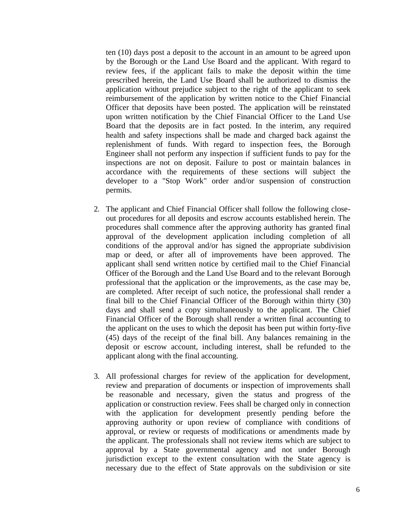ten (10) days post a deposit to the account in an amount to be agreed upon by the Borough or the Land Use Board and the applicant. With regard to review fees, if the applicant fails to make the deposit within the time prescribed herein, the Land Use Board shall be authorized to dismiss the application without prejudice subject to the right of the applicant to seek reimbursement of the application by written notice to the Chief Financial Officer that deposits have been posted. The application will be reinstated upon written notification by the Chief Financial Officer to the Land Use Board that the deposits are in fact posted. In the interim, any required health and safety inspections shall be made and charged back against the replenishment of funds. With regard to inspection fees, the Borough Engineer shall not perform any inspection if sufficient funds to pay for the inspections are not on deposit. Failure to post or maintain balances in accordance with the requirements of these sections will subject the developer to a "Stop Work" order and/or suspension of construction permits.

- 2. The applicant and Chief Financial Officer shall follow the following closeout procedures for all deposits and escrow accounts established herein. The procedures shall commence after the approving authority has granted final approval of the development application including completion of all conditions of the approval and/or has signed the appropriate subdivision map or deed, or after all of improvements have been approved. The applicant shall send written notice by certified mail to the Chief Financial Officer of the Borough and the Land Use Board and to the relevant Borough professional that the application or the improvements, as the case may be, are completed. After receipt of such notice, the professional shall render a final bill to the Chief Financial Officer of the Borough within thirty (30) days and shall send a copy simultaneously to the applicant. The Chief Financial Officer of the Borough shall render a written final accounting to the applicant on the uses to which the deposit has been put within forty-five (45) days of the receipt of the final bill. Any balances remaining in the deposit or escrow account, including interest, shall be refunded to the applicant along with the final accounting.
- 3. All professional charges for review of the application for development, review and preparation of documents or inspection of improvements shall be reasonable and necessary, given the status and progress of the application or construction review. Fees shall be charged only in connection with the application for development presently pending before the approving authority or upon review of compliance with conditions of approval, or review or requests of modifications or amendments made by the applicant. The professionals shall not review items which are subject to approval by a State governmental agency and not under Borough jurisdiction except to the extent consultation with the State agency is necessary due to the effect of State approvals on the subdivision or site